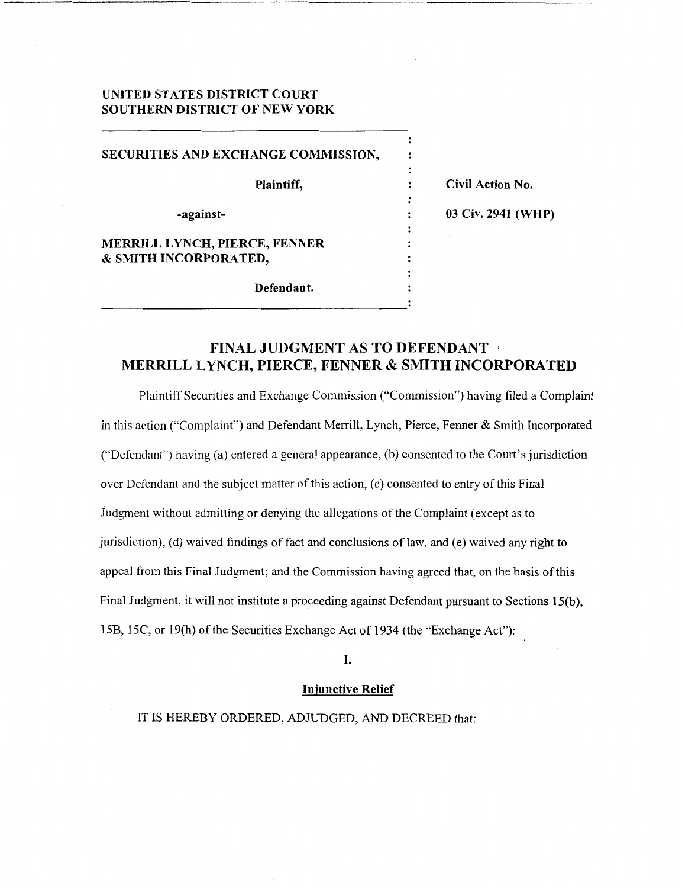## **UNITED STATES DISTRICT COURT SOUTHERN DISTRICT OF NEW YORK**

| SECURITIES AND EXCHANGE COMMISSION, |                    |
|-------------------------------------|--------------------|
| Plaintiff,                          | Civil Action No.   |
| -against-                           | 03 Civ. 2941 (WHP) |
| MERRILL LYNCH, PIERCE, FENNER       |                    |
| & SMITH INCORPORATED,               |                    |
|                                     |                    |
| Defendant.                          |                    |
|                                     |                    |

# **FINAL JUDGMENT AS TO DEFENDANT MERRILL LYNCH, PIERCE, FENNER** & **SMITH INCORPORATED**

Plaintiff Securities and Exchange Commission ("Commission") having filed a Complaint in this action ("Complaint") and Defendant Merrill, Lynch, Pierce, Fenner & Smith Incorporated ("Defendant") having (a) entered a general appearance, (b) consented to the Court's jurisdiction over Defendant and the subject matter of this action, (c) consented to entry of this Final Judgment without admitting or denying the allegations of the Complaint (except as to jurisdiction), (d) waived findings of fact and conclusions of law, and (e) waived any right to appeal from this Final Judgment; and the Commission having agreed that, on the basis **of** this Final Judgment, it will not institute a proceeding against Defendant pursuant to Sections **15(b),**  15B, 132, or 19(h) of the Securities Exchange Act of 1934 (the "Exchange Act"):

**I.** 

## **Iniunctive Relief**

IT IS HEREBY ORDERED, ADJUDGED, AND DECREED that: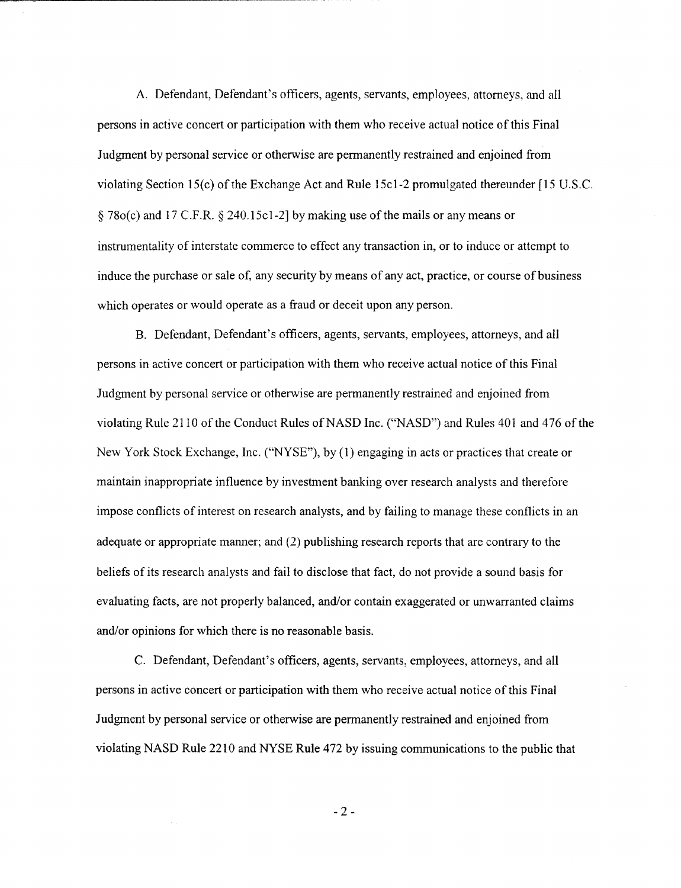**A.** Defendant, Defendant's officers, agents, servants, employees, attorneys, and all persons in active concert or participation with them who receive actual notice of this Final Judgment by personal service or otherwise are permanently restrained and enjoined from violating Section 15(c) of the Exchange Act and Rule 15cl-2 promulgated thereunder [ 15 U.S.C. tj 78o(cj and 17 C.F.R. *3* 240.15~1-21 by making use of the mails or any means or instrumentality of interstate commerce to effect any transaction in, or to induce or attempt to induce the purchase or sale of, any security by means of any act, practice, or course of business which operates or would operate as a fraud or deceit upon any person.

B. Defendant, Defendant's officers, agents, servants, employees, attorneys, and all persons in active concert or participation with them who receive actual notice of this Final Judgment by personal service or otherwise are permanently restrained and enjoined from violating Rule 21 10 of the Conduct Rules of NASD Inc. ("NASD") and Rules 401 and 476 of the New York Stock Exchange, Inc. ("NYSE"), by **(1)** engaging in acts or practices that create or maintain inappropriate influence by investment banking over research analysts and therefore impose conflicts of interest on research analysts, and by failing to manage these conflicts in an adequate or appropriate manner; and (2) publishing research reports that are contrary to the beliefs of its research analysts and fail to disclose that fact, do not provide a sound basis for evaluating facts, are not properly balanced, and/or contain exaggerated or unwarranted claims and/or opinions for which there is no reasonable basis.

C. Defendant, Defendant's officers, agents, servants, employees, attorneys, and all persons in active concert or participation with them who receive actual notice of this Final Judgment by personal service or otherwise are permanently restrained and enjoined from violating NASD Rule 22 10 and **NYSE** Rule 472 by issuing communications to the public that

-2-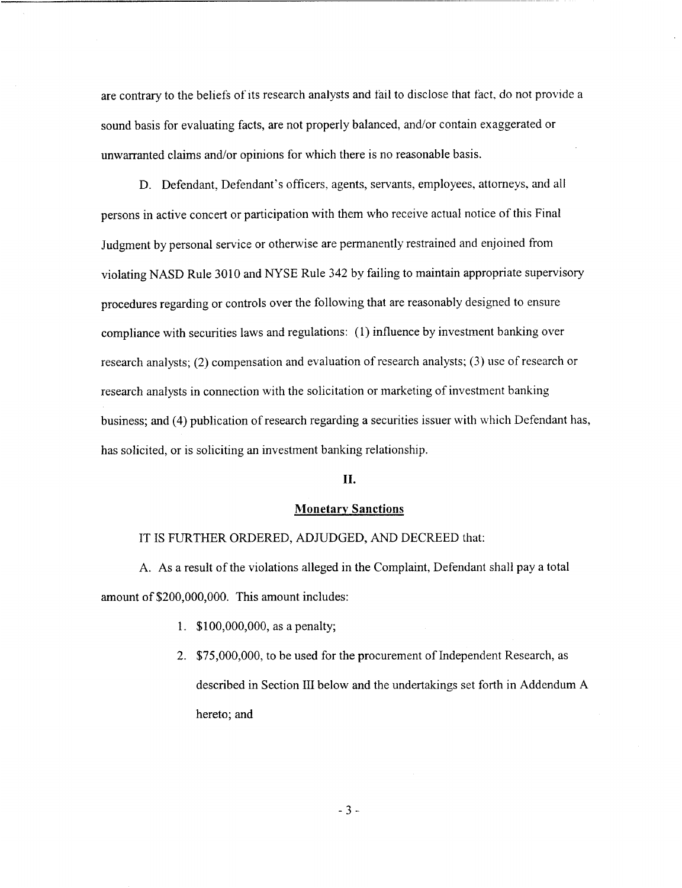are contrary to the beliefs of its research analysts and fail to disclose that fact, do not provide a sound basis for evaluating facts, are not properly balanced, and/or contain exaggerated or unwarranted claims and/or opinions for which there is no reasonable basis.

D. Defendant, Defendant's officers, agents, servants, employees, attorneys, and all persons in active concert or participation with them who receive actual notice of this Final Judgment by personal service or otherwise are permanently restrained and enjoined from violating NASD Rule 3010 and NYSE Rule 342 by failing to maintain appropriate supervisory procedures regarding or controls over the following that are reasonably designed to ensure compliance with securities laws and regulations: (1) influence by investment banking over research analysts; (2) compensation and evaluation of research analysts; (3) use of research or research analysts in connection with the solicitation or marketing of investment banking business; and (4) publication of research regarding a securities issuer with which Defendant has, has solicited, or is soliciting an investment banking relationship.

#### **11.**

### **Monetary Sanctions**

### IT **IS** FURTHER ORDERED, ADJUDGED, AND DECREED that:

A. As a result of the violations alleged in the Complaint, Defendant shall pay a total amount of \$200,000,000. This amount includes:

- **1.** \$100,000,000, as a penalty;
- 2. \$75,000,000, to be used for the procurement of Independent Research, as described in Section III below and the undertakings set forth in Addendum A hereto; and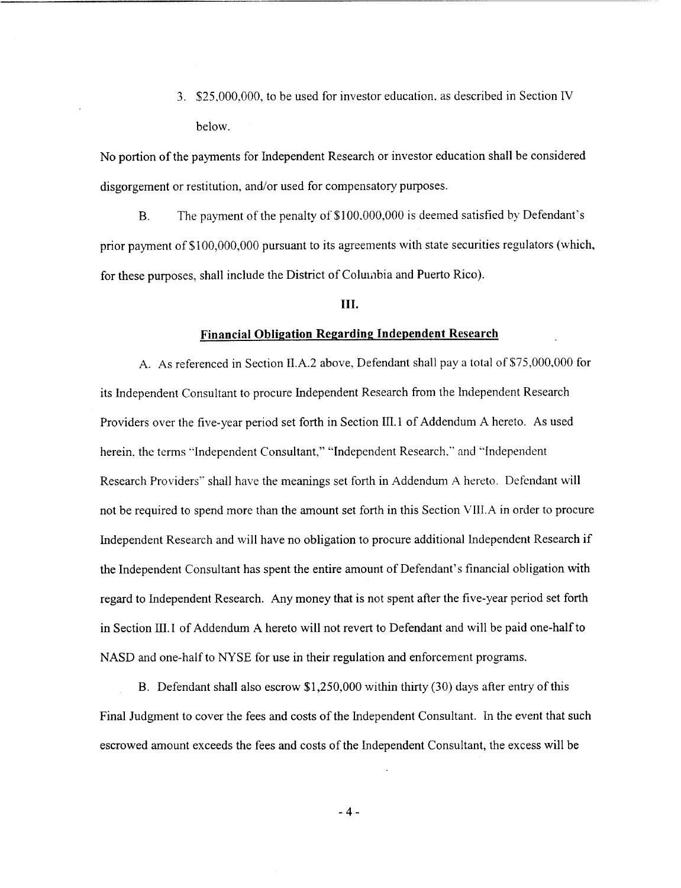3. \$25,000.000, to be used for investor education. as described in Section *N*  below.

No portion of the payments for Independent Research or investor education shall be considered disgorgement or restitution, and/or used for compensatory purposes.

B. The payment of the penalty of \$100.000.000 is deemed satisfied by Defendant's prior payment of \$100,000,000 pursuant to its agreements with state securities regulators (which, for these purposes, shall include the District of Columbia and Puerto Rico).

#### **111.**

## **Financial Obligation Regarding Independent Research**

A. As referenced in Section II.A.2 above, Defendant shall pay a total of \$7S,OOO,OOO for its Independent Consultant to procure Independent Research from the lndependent Research Providers over the five-year period set forth in Section HI. 1 of Addendum **A** hereto. As used herein. the terms "Independent Consultant," "Independent Research," and "Independent Research Providers" shall have the meanings set forth in Addendum A hereto. Defendant will not be required to spend more than the amount set forth in this Section VII1.A in order to procure Independent Research and will have no obligation to procure additional Independent Research if the Independent Consultant has spent the entire amount of Defendant's financial obligation with regard to Independent Research. Any money that is not spent after the five-year period set forth in Section HI. 1 of Addendum A hereto will not revert to Defendant and will be paid one-half to NASD and one-half to **NYSE** for use in their regulation and enforcement programs.

B. Defendant shall also escrow \$1,250,000 within thirty (30) days after entry of this Final Judgment to cover the fees and costs of the Independent Consultant. In the event that such escrowed amount exceeds the fees and costs of the Independent Consultant, the excess will be

**-4-**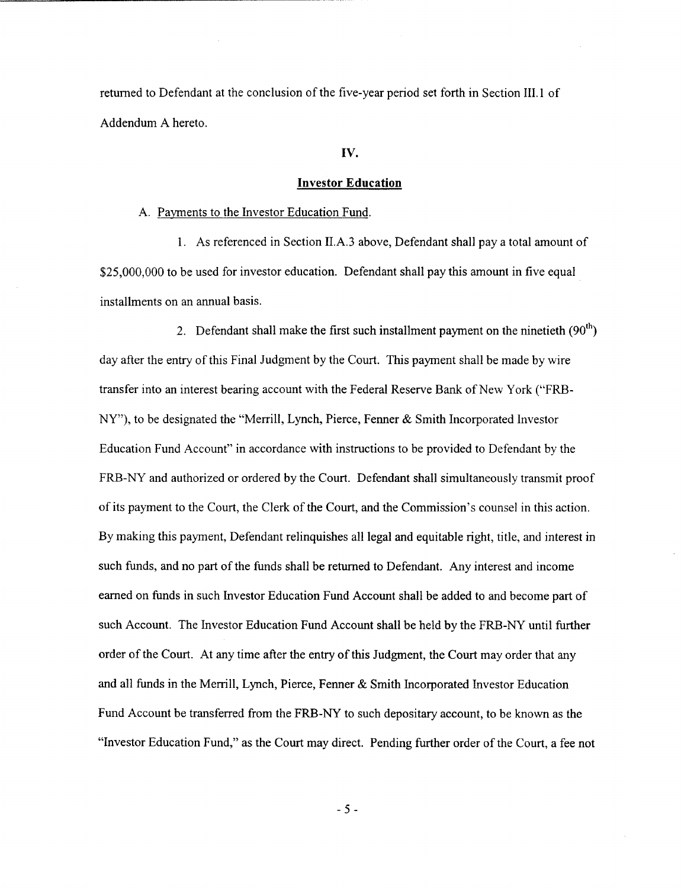returned to Defendant at the conclusion of the five-year period set forth in Section 111.1 of Addendum A hereto.

#### **IV.**

#### **Investor Education**

A. Payments to the Investor Education Fund.

1. As referenced in Section II.A.3 above, Defendant shall pay a total amount of \$25,000,000 to be used for investor education. Defendant shall pay this amount in five equal installments on an annual basis.

2. Defendant shall make the first such installment payment on the ninetieth  $(90<sup>th</sup>)$ day after the entry of this Final Judgment by the Court. This payment shall be made by wire transfer into an interest bearing account with the Federal Reserve Bank of New York ("FRB-NY"), to be designated the "Merrill, Lynch, Pierce, Fenner & Smith Incorporated Investor Education Fund Account" in accordance with instructions to be provided to Defendant by the FRB-NY and authorized or ordered by the Court. Defendant shall simultaneously transmit proof of its payment to the Court, the Clerk of the Court, and the Commission's counsel in this action. By making this payment, Defendant relinquishes all legal and equitable right, title, and interest in such funds, and no **part** of the funds shall be returned to Defendant. Any interest and income earned on funds in such Investor Education Fund Account shall be added to and become part of such Account. The Investor Education Fund Account shall be held by the FRB-NY until further order of the Court. At any time after the entry of this Judgment, the Court may order that any and all funds in the Menill, Lynch, Pierce, Fenner & Smith Incorporated Investor Education Fund Account be transferred from the FRB-NY to such depositary account, to be known as the "Investor Education Fund," as the Court may direct. Pending further order of the Court, a fee not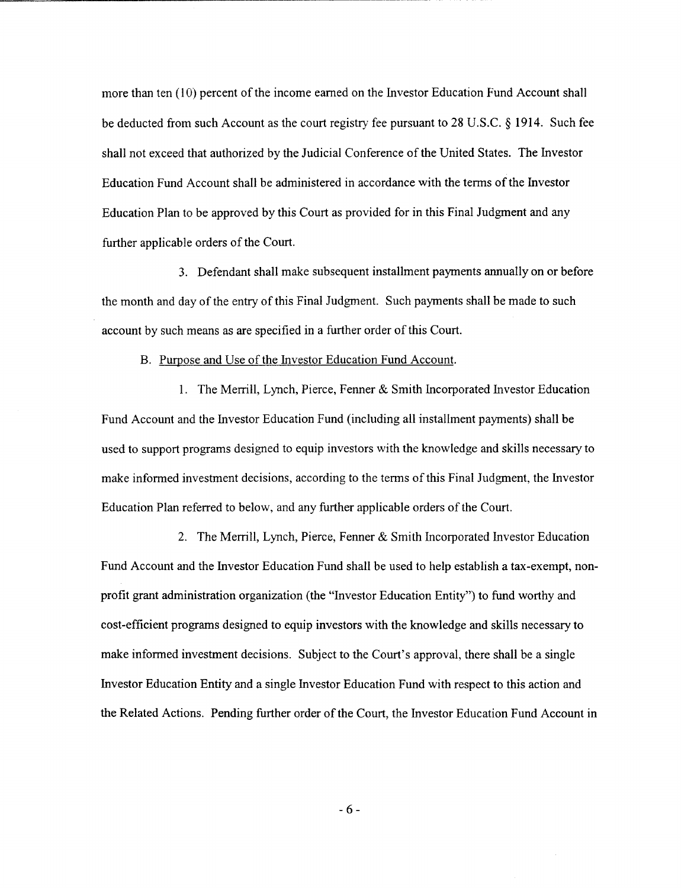more than ten (10) percent of the income earned on the Investor Education Fund Account shall be deducted from such Account as the court registry fee pursuant to 28 U.S.C.  $\S$  1914. Such fee shall not exceed that authorized by the Judicial Conference of the United States. The Investor Education Fund Account shall be administered in accordance with the terms of the Investor Education Plan to be approved by this Court as provided for in this Final Judgment and any further applicable orders of the Court.

**3.** Defendant shall make subsequent installment payments annually on or before the month and day of the entry of this Final Judgment. Such payments shall be made to such account by such means as are specified in a further order of this Court.

B. Purpose and Use of the Investor Education Fund Account.

1. The Merrill, Lynch, Pierce, Fenner & Smith Incorporated Investor Education Fund Account and the Investor Education Fund (including all installment payments) shall be used to support programs designed to equip investors with the knowledge and skills necessary to make informed investment decisions, according to the terms of this Final Judgment, the Investor Education Plan referred to below, and any further applicable orders of the Court.

2. The Merrill, Lynch, Pierce, Fenner & Smith Incorporated Investor Education Fund Account and the Investor Education Fund shall be used to help establish a tax-exempt, nonprofit grant administration organization (the "Investor Education Entity") to fund worthy and cost-efficient programs designed to equip investors with the knowledge and skills necessary to make informed investment decisions. Subject to the Court's approval, there shall be a single Investor Education Entity and a single Investor Education Fund with respect to this action and the Related Actions. Pending hrther order of the Court, the Investor Education Fund Account in

*-6-*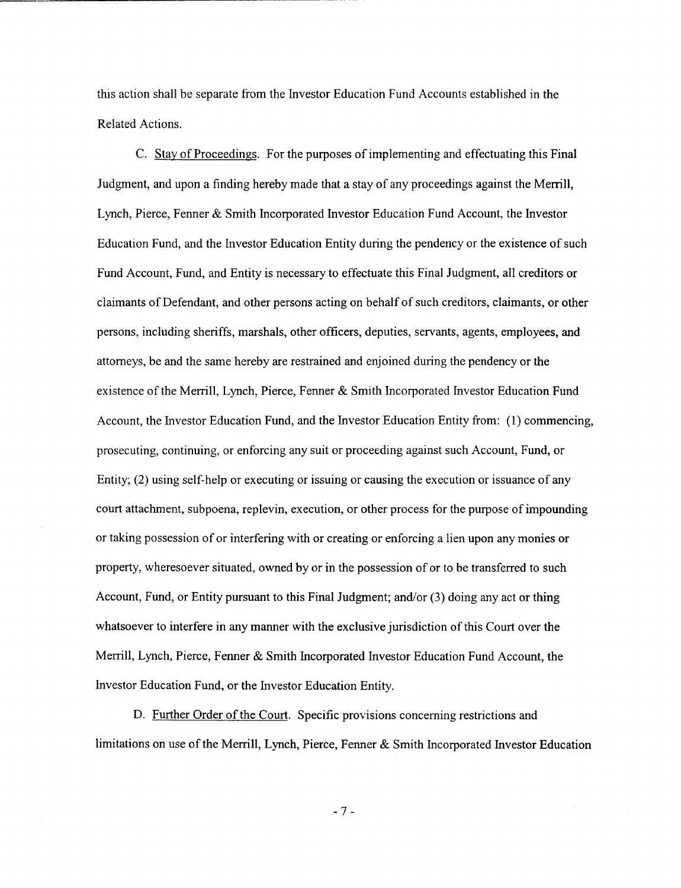this action shall be separate from the Investor Education Fund Accounts established in the Related Actions.

C. Stay of Proceedings. For the purposes of implementing and effectuating this Final Judgment, and upon a finding hereby made that a stay of any proceedings against the Merrill, Lynch, Pierce, Fenner & Smith Incorporated Investor Education Fund Account, the Investor Education Fund, and the Investor Education Entity during the pendency or the existence of such Fund Account, Fund, and Entity is necessary to effectuate this Final Judgment, all creditors or claimants of Defendant, and other persons acting on behalf of such creditors, claimants, or other persons, including sheriffs, marshals, other officers, deputies, servants, agents, employees, and attorneys, be and the same hereby are restrained and enjoined during the pendency or the existence of the Menill, Lynch, Pierce, Fenner & Smith Incorporated Investor Education Fund Account, the Investor Education Fund, and the Investor Education Entity from: (1) commencing, prosecuting, continuing, or enforcing any suit or proceeding against such Account, Fund, or Entity; (2) using self-help or executing or issuing or causing the execution or issuance of any court attachment, subpoena, replevin, execution, or other process for the purpose of impounding or taking possession of or interfering with or creating or enforcing a lien upon any monies or property, wheresoever situated, owned by or in the possession of or to be transferred to such Account, Fund, or Entity pursuant to this Final Judgment; and/or (3) doing any act or thing whatsoever to interfere in any manner with the exclusive jurisdiction of this Court over the Merrill, Lynch, Pierce, Fenner & Smith Incorporated Investor Education Fund Account, the Investor Education Fund, or the Investor Education Entity.

D. Further Order of the Court. Specific provisions concerning restrictions and limitations on use of the Merrill, Lynch, Pierce, Fenner & Smith Incorporated Investor Education

*-7-*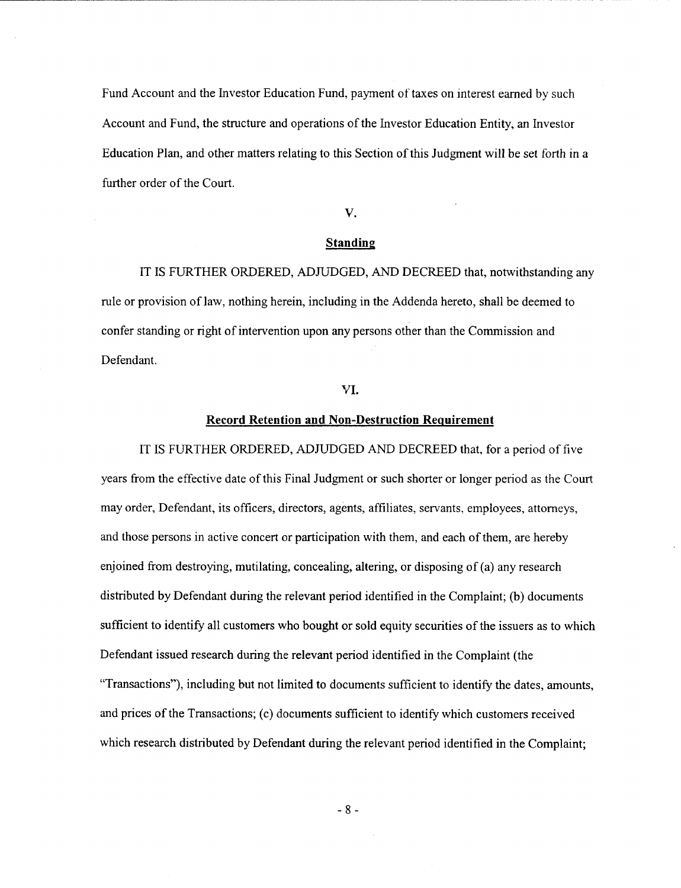Fund Account and the Investor Education Fund, payment of taxes on interest earned by such Account and Fund, the structure and operations of the Investor Education Entity, an Investor Education Plan, and other matters relating to this Section of this Judgment will be set forth in a further order of the Court.

### **V.**

#### Standing

IT **IS** FURTHER ORDERED, ADJUDGED, *AND* DECREED that, notwithstanding any rule or provision of law, nothing herein, including in the Addenda hereto, shall be deemed to confer standing or right of intervention upon any persons other than the Commission and Defendant.

### **YI.**

### Record Retention and Non-Destruction Requirement

IT **IS** FURTHER ORDERED, ADJUDGED AND DECREED that. for a period of five years from the effective date of this Final Judgment or such shorter or longer period as the Court may order, Defendant, its officers, directors, agents, affiliates, servants, employees, attorneys, and those persons in active concert or participation with them, and each of them, are hereby enjoined from destroying, mutilating, concealing, altering, or disposing of (a) any research distributed by Defendant during the relevant period identified in the Complaint; (b) documents sufficient to identify all customers who bought or sold equity securities of the issuers as to which Defendant issued research during the relevant period identified in the Complaint (the "Transactions"), including but not limited to documents sufficient to identify the dates, amounts, and prices of the Transactions; (c) documents sufficient to identify which customers received which research distributed by Defendant during the relevant period identified in the Complaint;

**-8-**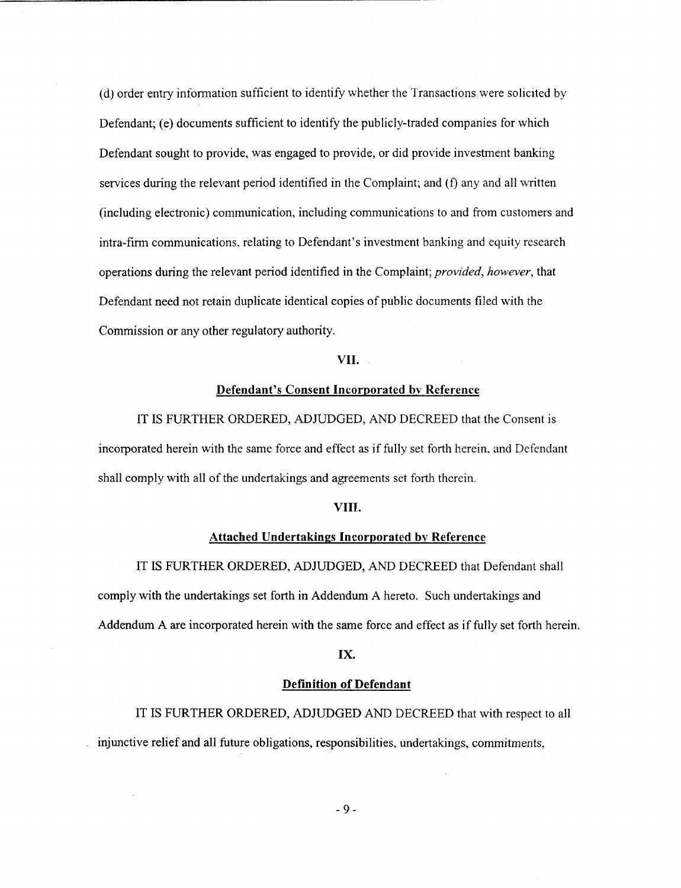(d) order entry information sufficient to identify whether the Transactions were solicited by Defendant; (e) documents sufficient to identify the publicly-traded companies for which Defendant sought to provide, was engaged to provide, or did provide investment banking services during the relevant period identified in the Complaint; and **(f)** any and all written (including electronic) communication, including communications to and from customers and intra-firm communications, relating to Defendant's investment banking and equity research operations during the relevant period identified in the Complaint; *provided, however,* that Defendant need not retain duplicate identical copies of public documents filed with the Commission or any other regulatory authority.

### **VII.**

## **Defendant's Consent Incorporated bv Reference**

IT IS FURTHER ORDERED, ADJUDGED, AND DECREED that the Consent is incorporated herein with the same force and effect as if fully set forth herein, and Defendant shall comply with all of the undertakings and agreements set forth therein.

#### **VIIT.**

### **Attached Undertakings Incorporated by Reference**

IT IS FURTHER ORDERED, ADJUDGED, **AND** DECREED that Defendant shall comply with the undertakings set forth in Addendum **A** hereto. Such undertakings and Addendum A are incorporated herein with the same force and effect as if fully set forth herein.

#### **IX.**

#### **Definition of Defendant**

IT **IS** FURTHER ORDERED, ADJUDGED **AND** DECREED that with respect to all injunctive relief and all future obligations, responsibilities, undertakings, commitments,